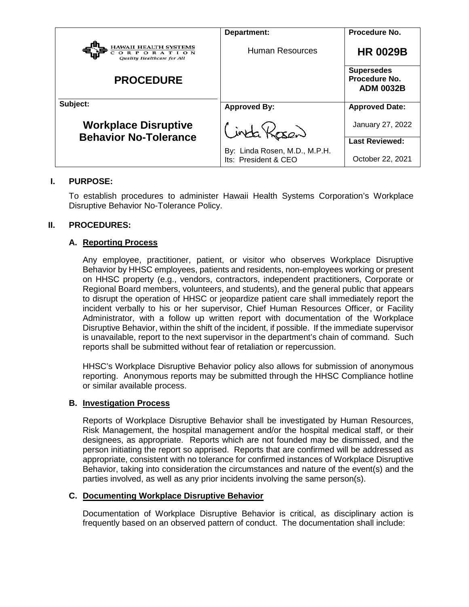|                                                                    | Department:                                           | Procedure No.                                          |
|--------------------------------------------------------------------|-------------------------------------------------------|--------------------------------------------------------|
| HAWAII HEALTH SYSTEMS<br>CORPORATION<br>Quality Healthcare for All | Human Resources                                       | <b>HR 0029B</b>                                        |
| <b>PROCEDURE</b>                                                   |                                                       | <b>Supersedes</b><br>Procedure No.<br><b>ADM 0032B</b> |
| Subject:                                                           | <b>Approved By:</b>                                   | <b>Approved Date:</b>                                  |
| <b>Workplace Disruptive</b><br><b>Behavior No-Tolerance</b>        | inta Kosan                                            | January 27, 2022                                       |
|                                                                    |                                                       | <b>Last Reviewed:</b>                                  |
|                                                                    | By: Linda Rosen, M.D., M.P.H.<br>Its: President & CEO | October 22, 2021                                       |

# **I. PURPOSE:**

To establish procedures to administer Hawaii Health Systems Corporation's Workplace Disruptive Behavior No-Tolerance Policy.

# **II. PROCEDURES:**

# **A. Reporting Process**

Any employee, practitioner, patient, or visitor who observes Workplace Disruptive Behavior by HHSC employees, patients and residents, non-employees working or present on HHSC property (e.g., vendors, contractors, independent practitioners, Corporate or Regional Board members, volunteers, and students), and the general public that appears to disrupt the operation of HHSC or jeopardize patient care shall immediately report the incident verbally to his or her supervisor, Chief Human Resources Officer, or Facility Administrator, with a follow up written report with documentation of the Workplace Disruptive Behavior, within the shift of the incident, if possible. If the immediate supervisor is unavailable, report to the next supervisor in the department's chain of command. Such reports shall be submitted without fear of retaliation or repercussion.

HHSC's Workplace Disruptive Behavior policy also allows for submission of anonymous reporting. Anonymous reports may be submitted through the HHSC Compliance hotline or similar available process.

## **B. Investigation Process**

Reports of Workplace Disruptive Behavior shall be investigated by Human Resources, Risk Management, the hospital management and/or the hospital medical staff, or their designees, as appropriate. Reports which are not founded may be dismissed, and the person initiating the report so apprised. Reports that are confirmed will be addressed as appropriate, consistent with no tolerance for confirmed instances of Workplace Disruptive Behavior, taking into consideration the circumstances and nature of the event(s) and the parties involved, as well as any prior incidents involving the same person(s).

## **C. Documenting Workplace Disruptive Behavior**

Documentation of Workplace Disruptive Behavior is critical, as disciplinary action is frequently based on an observed pattern of conduct. The documentation shall include: